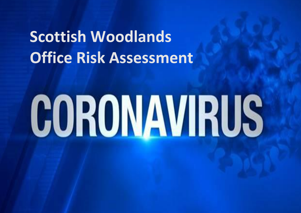## **Scottish Woodlands Office Risk Assessment**

# CORONAVIRUS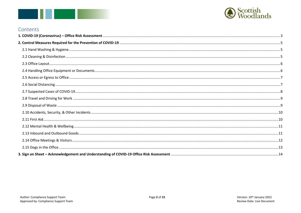



#### Contents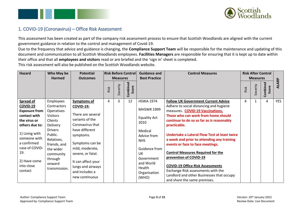



#### <span id="page-2-0"></span>1. COVID-19 (Coronavirus) – Office Risk Assessment

This assessment has been created as part of the company risk assessment process to ensure that Scottish Woodlands are aligned with the current government guidance in relation to the control and management of Covid-19.

Due to the frequency that advice and guidance is changing, the **Compliance Support Team** will be responsible for the maintenance and updating of this document and communication to all Scottish Woodlands employees. **Facilities Managers** are responsible for ensuring that it is kept up to date within their office and that all **employees and visitors** read or are briefed and the 'sign in' sheet is completed.

This risk assessment will also be published on the Scottish Woodlands website.

| <b>Hazard</b>                                                                                                                                                                                                      | Who May be<br><b>Harmed</b>                                                                                                                                                                                 | <b>Potential</b><br><b>Outcomes</b>                                                                                                                                                                                                                                         | <b>Risk Before Control</b> |          | <b>Measures</b>   |                                                                                                                                                                                                   | <b>Guidance and</b><br><b>Best Practice</b>                                                                                                                                                                                                                                                                                                                                                                                                                                                                                                                                                                | <b>Control Measures</b> |          | <b>Measures</b>   | <b>Risk After Control</b> |  |
|--------------------------------------------------------------------------------------------------------------------------------------------------------------------------------------------------------------------|-------------------------------------------------------------------------------------------------------------------------------------------------------------------------------------------------------------|-----------------------------------------------------------------------------------------------------------------------------------------------------------------------------------------------------------------------------------------------------------------------------|----------------------------|----------|-------------------|---------------------------------------------------------------------------------------------------------------------------------------------------------------------------------------------------|------------------------------------------------------------------------------------------------------------------------------------------------------------------------------------------------------------------------------------------------------------------------------------------------------------------------------------------------------------------------------------------------------------------------------------------------------------------------------------------------------------------------------------------------------------------------------------------------------------|-------------------------|----------|-------------------|---------------------------|--|
|                                                                                                                                                                                                                    |                                                                                                                                                                                                             |                                                                                                                                                                                                                                                                             | Risk                       | Severity | Combined<br>Score |                                                                                                                                                                                                   |                                                                                                                                                                                                                                                                                                                                                                                                                                                                                                                                                                                                            | Risk                    | Severity | Combined<br>Score | ALARP                     |  |
| Spread of<br>COVID-19<br><b>Exposure from</b><br>contact with<br>the virus or<br>others due to:<br>1) Living with<br>someone with<br>a confirmed<br>case of COVID-<br>19.<br>2) Have come<br>into close<br>contact | Employees<br>Contractors<br>Operatives<br><b>Visitors</b><br>Clients<br>Delivery<br><b>Drivers</b><br>Public.<br>Relatives,<br>friends, and<br>the wider<br>community<br>through<br>onward<br>transmission. | <b>Symptoms of</b><br><b>COVID-19:</b><br>There are several<br>variants of the<br>Coronavirus that<br>have different<br>symptoms.<br>Symptoms can be<br>mild, moderate,<br>severe, or fatal.<br>It can affect your<br>lungs and airways<br>and includes a<br>new continuous | 4                          | 3        | 12                | <b>HSWA 1974</b><br><b>MHSWR 1999</b><br><b>Equality Act</b><br>2010<br>Medical<br>Advice from<br><b>NHS</b><br>Guidance from<br>UK<br>Government<br>and World<br>Health<br>Organisation<br>(WHO) | <b>Follow UK Government Current Advice</b><br>Adhere to social distancing and hygiene<br>measures. <b>COVID-19 Vaccinations.</b><br>Those who can work from home should<br>continue to do so as far as is reasonably<br>practicable.<br>Undertake a Lateral Flow Test at least twice<br>a week and prior to attending any training<br>events or face to face meetings.<br><b>Control Measures Required for the</b><br>prevention of COVID-19<br><b>COVID-19 Office Risk Assessments</b><br>Exchange Risk assessments with the<br>Landlord and other Businesses that occupy<br>and share the same premises. | 4                       |          | 4                 | <b>YES</b>                |  |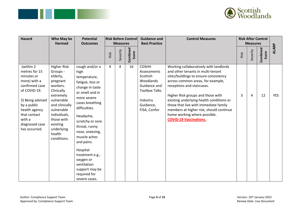



| <b>Hazard</b>                                                                                                                                                                                               | Who May be<br><b>Harmed</b>                                                                                                                                                                                                  | <b>Potential</b><br><b>Outcomes</b>                                                                                                                                                                                                                                                                                                                                  | <b>Risk Before Control</b><br><b>Measures</b> |          | <b>Guidance and</b><br><b>Best Practice</b> | <b>Control Measures</b>                                                                                                               |                                                                                                                                                                                                                                                                                                                                                                                                                               | <b>Measures</b> | <b>Risk After Control</b> |                   |              |
|-------------------------------------------------------------------------------------------------------------------------------------------------------------------------------------------------------------|------------------------------------------------------------------------------------------------------------------------------------------------------------------------------------------------------------------------------|----------------------------------------------------------------------------------------------------------------------------------------------------------------------------------------------------------------------------------------------------------------------------------------------------------------------------------------------------------------------|-----------------------------------------------|----------|---------------------------------------------|---------------------------------------------------------------------------------------------------------------------------------------|-------------------------------------------------------------------------------------------------------------------------------------------------------------------------------------------------------------------------------------------------------------------------------------------------------------------------------------------------------------------------------------------------------------------------------|-----------------|---------------------------|-------------------|--------------|
|                                                                                                                                                                                                             |                                                                                                                                                                                                                              |                                                                                                                                                                                                                                                                                                                                                                      | Risk                                          | Severity | Combined<br>Score                           |                                                                                                                                       |                                                                                                                                                                                                                                                                                                                                                                                                                               | Risk            | Severity                  | Combined<br>Score | <b>ALARP</b> |
| (within 2<br>metres for 15<br>minutes or<br>more) with a<br>confirmed case<br>of COVID-19.<br>3) Being advised<br>by a public<br>health agency<br>that contact<br>with a<br>diagnosed case<br>has occurred. | <b>Higher Risk</b><br>Groups -<br>elderly,<br>pregnant<br>workers.<br>Clinically<br>extremely<br>vulnerable<br>and clinically<br>vulnerable<br>individuals,<br>those with<br>existing<br>underlying<br>health<br>conditions. | cough and/or a<br>high<br>temperature,<br>fatigue, loss or<br>change in taste<br>or smell and in<br>more severe<br>cases breathing<br>difficulties.<br>Headache,<br>scratchy or sore<br>throat, runny<br>nose, sneezing,<br>muscle aches<br>and pains.<br>Hospital<br>treatment e.g.,<br>oxygen or<br>ventilation<br>support may be<br>required for<br>severe cases. | 4                                             | 4        | 16                                          | <b>COSHH</b><br>Assessments<br>Scottish<br>Woodlands<br>Guidance and<br><b>Toolbox Talks</b><br>Industry<br>Guidance,<br>FISA, Confor | Working collaboratively with landlords<br>and other tenants in multi-tenant<br>sites/buildings to ensure consistency<br>across common areas, for example,<br>receptions and staircases.<br>Higher Risk groups and those with<br>existing underlying health conditions or<br>those that live with immediate family<br>members at higher risk, should continue<br>home working where possible.<br><b>COVID-19 Vaccinations.</b> | 3               | 4                         | 12                | <b>YES</b>   |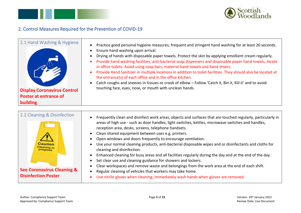

#### <span id="page-4-0"></span>2. Control Measures Required for the Prevention of COVID-19

<span id="page-4-1"></span>

<span id="page-4-2"></span>

| 2.2 Cleaning & Disinfection                             | Frequently clean and disinfect work areas, objects and surfaces that are touched regularly, particularly in                                               |
|---------------------------------------------------------|-----------------------------------------------------------------------------------------------------------------------------------------------------------|
|                                                         | areas of high use - such as door handles, light switches, kettles, microwave switches and handles,<br>reception area, desks, screens, telephone handsets. |
|                                                         | Clean shared equipment between uses e.g. printers.                                                                                                        |
|                                                         | Open windows and doors frequently to encourage ventilation.                                                                                               |
| <b>Caution</b><br><b>Cleaning in</b><br><b>progress</b> | Use your normal cleaning products, anti-bacterial disposable wipes and or disinfectants and cloths for<br>cleaning and disinfection.                      |
|                                                         | Enhanced cleaning for busy areas and all facilities regularly during the day and at the end of the day.                                                   |
|                                                         | Set clear use and cleaning guidance for showers and lockers.                                                                                              |
|                                                         | Clear workspaces and remove waste and belongings from the work area at the end of each shift.                                                             |
| <b>See Coronavirus Cleaning &amp;</b>                   | Regular cleaning of vehicles that workers may take home.                                                                                                  |
| <b>Disinfection Poster</b>                              | Use nitrile gloves when cleaning, immediately wash hands when gloves are removed.                                                                         |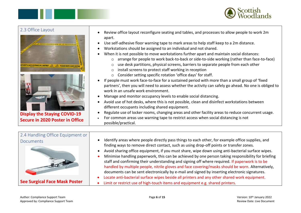



#### <span id="page-5-0"></span>2.3 Office Layout



**Display the Staying COVID-19 Secure in 2020 Poster in Office**

- Review office layout reconfigure seating and tables, and processes to allow people to work 2m apart.
- Use self-adhesive floor warning tape to mark areas to help staff keep to a 2m distance.
- Workstations should be assigned to an individual and not shared.
- When it is not possible to move workstations further apart and maintain social distances:
	- $\circ$  arrange for people to work back-to-back or side-to-side working (rather than face-to-face)
	- $\circ$  use desk partitions, physical screens, barriers to separate people from each other
	- o install screens to protect staff working in reception
	- o Consider setting specific rotation 'office days' for staff.
- If people must work face-to-face for a sustained period with more than a small group of 'fixed partners', then you will need to assess whether the activity can safely go ahead. No one is obliged to work in an unsafe work environment.
- Manage and monitor occupancy levels to enable social distancing.
- Avoid use of hot desks, where this is not possible, clean and disinfect workstations between different occupants including shared equipment.
- Regulate use of locker rooms, changing areas and other facility areas to reduce concurrent usage.
- For common areas use warning tape to restrict access when social distancing is not possible/practical.

<span id="page-5-1"></span>

| 2.4 Handling Office Equipment or     |                                                                                                                                                                                                                                                                                                                                                                                                                                                                                                                                                                                                           |
|--------------------------------------|-----------------------------------------------------------------------------------------------------------------------------------------------------------------------------------------------------------------------------------------------------------------------------------------------------------------------------------------------------------------------------------------------------------------------------------------------------------------------------------------------------------------------------------------------------------------------------------------------------------|
| <b>Documents</b>                     | Identify areas where people directly pass things to each other, for example office supplies, and                                                                                                                                                                                                                                                                                                                                                                                                                                                                                                          |
|                                      | finding ways to remove direct contact, such as using drop-off points or transfer zones.<br>Avoid sharing office equipment, if you must share, wipe down using anti-bacterial surface wipes.<br>Minimise handling paperwork, this can be achieved by one person taking responsibility for briefing<br>staff and confirming their understanding and signing off where required. If paperwork is to be<br>handled by multiple people, nitrile gloves and face covering/masks should be worn. Alternatively,<br>documents can be sent electronically by e-mail and signed by inserting electronic signatures. |
| <b>See Surgical Face Mask Poster</b> | Locate anti-bacterial surface wipes beside all printers and any other shared work equipment.<br>Limit or restrict use of high-touch items and equipment e.g. shared printers.                                                                                                                                                                                                                                                                                                                                                                                                                             |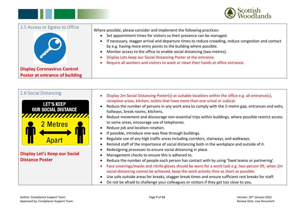

<span id="page-6-0"></span>

| 2.5 Access or Egress to Office                                              | Where possible, please consider and implement the following practices:<br>Set appointment times for visitors so their presence can be managed.<br>If necessary, stagger arrival and departure times to reduce crowding, reduce congestion and contact<br>by e.g. having more entry points to the building where possible.<br>Monitor access to the office to enable social distancing (two metres).<br>Display Lets keep our Social Distancing Poster at the entrance.<br>Require all workers and visitors to wash or clean their hands at office entrance. |
|-----------------------------------------------------------------------------|-------------------------------------------------------------------------------------------------------------------------------------------------------------------------------------------------------------------------------------------------------------------------------------------------------------------------------------------------------------------------------------------------------------------------------------------------------------------------------------------------------------------------------------------------------------|
| <b>Display Coronavirus Control</b><br><b>Poster at entrance of building</b> |                                                                                                                                                                                                                                                                                                                                                                                                                                                                                                                                                             |

<span id="page-6-1"></span>

| 2.6 Social Distancing                                                     | Display 2m Social Distancing Poster(s) at suitable locations within the office e.g. all entrance(s),                                                                                                                                                                                                                                                                                                                                                                                                                                                                                                                  |
|---------------------------------------------------------------------------|-----------------------------------------------------------------------------------------------------------------------------------------------------------------------------------------------------------------------------------------------------------------------------------------------------------------------------------------------------------------------------------------------------------------------------------------------------------------------------------------------------------------------------------------------------------------------------------------------------------------------|
| <b>LET'S KEEP</b><br><b>OUR SOCIAL DISTANCE</b><br>,,,,,,,,,,<br>2 Metres | reception areas, kitchen, toilets that have more than one urinal or cubical.<br>Reduce the number of persons in any work area to comply with the 2-metre gap, entrances and exits,<br>hallways, break rooms, kitchens.<br>Reduce movement and discourage non-essential trips within buildings, where possible restrict access<br>to some areas, encourage use of telephones.<br>Reduce job and location rotation.<br>If possible, introduce one-way flow through buildings.                                                                                                                                           |
|                                                                           | Regulate use of any high traffic areas including corridors, stairways, and walkways.<br>Remind staff of the importance of social distancing both in the workplace and outside of it.                                                                                                                                                                                                                                                                                                                                                                                                                                  |
| <b>Display Let's Keep our Social</b><br><b>Distance Poster</b>            | Redesigning processes to ensure social distancing in place.<br>Management checks to ensure this is adhered to.<br>Reduce the number of people each person has contact with by using 'fixed teams or partnering'.<br>Face coverings/masks and nitrile gloves should be worn for a work task e.g. two-person lift, when 2m<br>social distancing cannot be achieved, keep the work activity time as short as possible.<br>Use safe outside areas for breaks, stagger break times and ensure sufficient rest breaks for staff.<br>Do not be afraid to challenge your colleagues or visitors if they get too close to you. |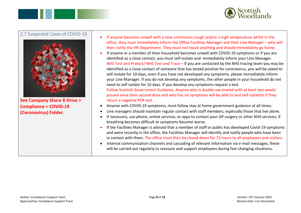

#### <span id="page-7-0"></span>2.7 Suspected Cases of COVID-19



**See Company Share R Drive > Compliance > COVID-19 (Coronavirus) Folder.**

- If anyone becomes unwell with a new continuous cough and/or a high temperature whilst in the office, they must immediately inform the Office Facilities Manager and their Line Manager – who will then notify the HR Department. They must not touch anything and should immediately go home.
- If anyone or a member of their household becomes unwell with COVID-19 symptoms or if you are identified as a close contact, you must self-isolate and immediately inform your Line Manager. NHS Test and Protect/ NHS Test and Trace – if you are contacted by the NHS tracing team you may be identified as a close contact of someone that has tested positive for coronavirus, you will be asked to self-isolate for 10 days, even if you have not developed any symptoms, please immediately inform your Line Manager. If you do not develop any symptoms, the other people in your household do not need to self-isolate for 10 days. If you develop any symptoms request a test. Follow Scottish Government Guidance. Anyone who is double vaccinated with at least two weeks passed since their second dose and who has no symptoms will be able to end self-isolation if they return a negative PCR test.
- Anyone with COVID-19 symptoms, must follow stay at home government guidance at all times.
- Line managers should maintain regular contact with staff members, especially those that live alone.
- If necessary, use phone, online services, or apps to contact your GP surgery or other NHS services, if breathing becomes difficult or symptoms become worse.
- If the Facilities Manager is advised that a member of staff or public has developed Covid-19 symptoms and were recently in the office, the Facilities Manager will identify and notify people who have been in contact with them. The office must then be closed down for 72 hours to all employees and visitors.
- Internal communication channels and cascading of relevant information via e-mail messages, these will be carried out regularly to reassure and support employees during fast-changing situations.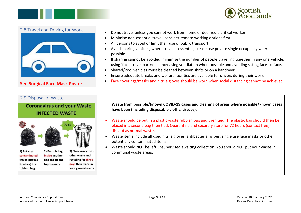



<span id="page-8-0"></span>

| 2.8 Travel and Driving for Work      | Do not travel unless you cannot work from home or deemed a critical worker.<br>Minimise non-essential travel, consider remote working options first.<br>All persons to avoid or limit their use of public transport.<br>Avoid sharing vehicles, where travel is essential, please use private single occupancy where                                                                              |
|--------------------------------------|---------------------------------------------------------------------------------------------------------------------------------------------------------------------------------------------------------------------------------------------------------------------------------------------------------------------------------------------------------------------------------------------------|
|                                      | possible.<br>If sharing cannot be avoided, minimise the number of people travelling together in any one vehicle,<br>using 'fixed travel partners', increasing ventilation when possible and avoiding sitting face-to-face.<br>Shared/Pool vehicles must be cleaned between shifts or on a handover.<br>Ensure adequate breaks and welfare facilities are available for drivers during their work. |
| <b>See Surgical Face Mask Poster</b> | Face coverings/masks and nitrile gloves should be worn when social distancing cannot be achieved.                                                                                                                                                                                                                                                                                                 |

#### <span id="page-8-1"></span>2.9 Disposal of Waste

**Coronavirus and your Waste INFECTED WASTE** 



**Waste from possible/known COVID-19 cases and cleaning of areas where possible/known cases have been (including disposable cloths, tissues).**

- Waste should be put in a plastic waste rubbish bag and then tied. The plastic bag should then be placed in a second bag then tied. Quarantine and securely store for 72 hours (contact free), discard as normal waste.
- Waste items include all used nitrile gloves, antibacterial wipes, single use face masks or other potentially contaminated items.
- Waste should NOT be left unsupervised awaiting collection. You should NOT put your waste in communal waste areas.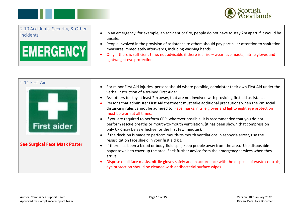



<span id="page-9-0"></span>

| 2.10 Accidents, Security, & Other | In an emergency, for example, an accident or fire, people do not have to stay 2m apart if it would be                                                                                                                                                                                                          |
|-----------------------------------|----------------------------------------------------------------------------------------------------------------------------------------------------------------------------------------------------------------------------------------------------------------------------------------------------------------|
| Incidents                         | unsafe.                                                                                                                                                                                                                                                                                                        |
| <b>EMERGENCY</b>                  | People involved in the provision of assistance to others should pay particular attention to sanitation<br>measures immediately afterwards, including washing hands.<br>Only if there is sufficient time, not advisable if there is a fire – wear face masks, nitrile gloves and<br>lightweight eye protection. |

<span id="page-9-1"></span>

| 2.11 First Aid<br><b>First aider</b> | For minor First Aid injuries, persons should where possible, administer their own First Aid under the<br>verbal instruction of a trained First Aider.<br>Ask others to stay at least 2m away, that are not involved with providing first aid assistance.<br>$\bullet$<br>Persons that administer First Aid treatment must take additional precautions when the 2m social<br>$\bullet$<br>distancing rules cannot be adhered to. Face masks, nitrile gloves and lightweight eye protection<br>must be worn at all times.<br>If you are required to perform CPR, wherever possible, it is recommended that you do not<br>$\bullet$<br>perform rescue breaths or mouth-to-mouth ventilation, (it has been shown that compression<br>only CPR may be as effective for the first few minutes). |
|--------------------------------------|-------------------------------------------------------------------------------------------------------------------------------------------------------------------------------------------------------------------------------------------------------------------------------------------------------------------------------------------------------------------------------------------------------------------------------------------------------------------------------------------------------------------------------------------------------------------------------------------------------------------------------------------------------------------------------------------------------------------------------------------------------------------------------------------|
| <b>See Surgical Face Mask Poster</b> | If the decision is made to perform mouth-to-mouth ventilations in asphyxia arrest, use the<br>resuscitation face shield in your first aid kit.<br>If there has been a blood or body-fluid spill, keep people away from the area. Use disposable<br>$\bullet$<br>paper towels to cover up the area. Seek further advice from the emergency services when they<br>arrive.<br>Dispose of all face masks, nitrile gloves safely and in accordance with the disposal of waste controls,<br>eye protection should be cleaned with antibacterial surface wipes.                                                                                                                                                                                                                                  |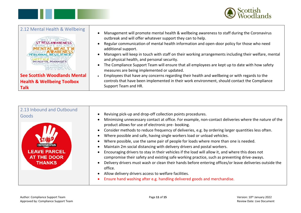



<span id="page-10-0"></span>

| 2.12 Mental Health & Wellbeing<br>ST RESS AWARENESS<br>PERSONAL RESILIENCE<br>MINDFUL MANAGER | Management will promote mental health & wellbeing awareness to staff during the Coronavirus<br>outbreak and will offer whatever support they can to help.<br>Regular communication of mental health information and open-door policy for those who need<br>additional support.<br>Managers will keep in touch with staff on their working arrangements including their welfare, mental<br>and physical health, and personal security.<br>The Compliance Support Team will ensure that all employees are kept up to date with how safety |
|-----------------------------------------------------------------------------------------------|-----------------------------------------------------------------------------------------------------------------------------------------------------------------------------------------------------------------------------------------------------------------------------------------------------------------------------------------------------------------------------------------------------------------------------------------------------------------------------------------------------------------------------------------|
| <b>HAPPINESS</b>                                                                              | measures are being implemented or updated.                                                                                                                                                                                                                                                                                                                                                                                                                                                                                              |
| <b>See Scottish Woodlands Mental</b>                                                          | Employees that have any concerns regarding their health and wellbeing or with regards to the                                                                                                                                                                                                                                                                                                                                                                                                                                            |
| <b>Health &amp; Wellbeing Toolbox</b>                                                         | controls that have been implemented in their work environment, should contact the Compliance                                                                                                                                                                                                                                                                                                                                                                                                                                            |
| <b>Talk</b>                                                                                   | Support Team and HR.                                                                                                                                                                                                                                                                                                                                                                                                                                                                                                                    |

<span id="page-10-1"></span>

| 2.13 Inbound and Outbound<br>Goods<br>coronavirus<br><b>LEAVE PARCEL</b><br><b>AT THE DOOR</b><br><b>THANKS</b> | Revising pick-up and drop-off collection points procedures.<br>Minimising unnecessary contact at office. For example, non-contact deliveries where the nature of the<br>product allows for use of electronic pre- booking.<br>Consider methods to reduce frequency of deliveries, e.g. by ordering larger quantities less often.<br>$\bullet$<br>Where possible and safe, having single workers load or unload vehicles.<br>Where possible, use the same pair of people for loads where more than one is needed.<br>Maintain 2m social distancing with delivery drivers and postal workers.<br>Encouraging drivers to stay in their vehicles if the load will allow it, and where this does not<br>compromise their safety and existing safe working practice, such as preventing drive-aways.<br>Delivery drivers must wash or clean their hands before entering offices/or leave deliveries outside the<br>$\bullet$<br>office.<br>Allow delivery drivers access to welfare facilities.<br>$\bullet$<br>Ensure hand washing after e.g. handling delivered goods and merchandise. |
|-----------------------------------------------------------------------------------------------------------------|------------------------------------------------------------------------------------------------------------------------------------------------------------------------------------------------------------------------------------------------------------------------------------------------------------------------------------------------------------------------------------------------------------------------------------------------------------------------------------------------------------------------------------------------------------------------------------------------------------------------------------------------------------------------------------------------------------------------------------------------------------------------------------------------------------------------------------------------------------------------------------------------------------------------------------------------------------------------------------------------------------------------------------------------------------------------------------|
|-----------------------------------------------------------------------------------------------------------------|------------------------------------------------------------------------------------------------------------------------------------------------------------------------------------------------------------------------------------------------------------------------------------------------------------------------------------------------------------------------------------------------------------------------------------------------------------------------------------------------------------------------------------------------------------------------------------------------------------------------------------------------------------------------------------------------------------------------------------------------------------------------------------------------------------------------------------------------------------------------------------------------------------------------------------------------------------------------------------------------------------------------------------------------------------------------------------|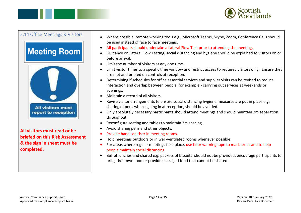



## <span id="page-11-0"></span>2.14 Office Meetings & Visitors **Meeting Room All visitors must** report to reception **All visitors must read or be briefed on this Risk Assessment & the sign in sheet must be completed.**

- Where possible, remote working tools e.g., Microsoft Teams, Skype, Zoom, Conference Calls should be used instead of face to face meetings.
- All participants should undertake a Lateral Flow Test prior to attending the meeting.
- Guidance on Lateral Flow Testing, social distancing and hygiene should be explained to visitors on or before arrival.
- Limit the number of visitors at any one time.
- Limit visitor times to a specific time window and restrict access to required visitors only. Ensure they are met and briefed on controls at reception.
- Determining if schedules for office essential services and supplier visits can be revised to reduce interaction and overlap between people, for example - carrying out services at weekends or evenings.
- Maintain a record of all visitors.
- Revise visitor arrangements to ensure social distancing hygiene measures are put in place e.g. sharing of pens when signing in at reception, should be avoided.
- Only absolutely necessary participants should attend meetings and should maintain 2m separation throughout.
- Reconfigure seating and tables to maintain 2m spacing.
- Avoid sharing pens and other objects.
- Provide hand sanitiser in meeting rooms.
- Hold meetings outdoors or in well-ventilated rooms whenever possible.
- For areas where regular meetings take place, use floor warning tape to mark areas and to help people maintain social distancing.
- Buffet lunches and shared e.g. packets of biscuits, should not be provided, encourage participants to bring their own food or provide packaged food that cannot be shared.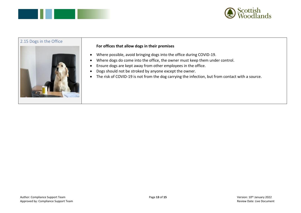



### <span id="page-12-0"></span>2.15 Dogs in the Office **For offices that allow dogs in their premises** • Where possible, avoid bringing dogs into the office during COVID-19. • Where dogs do come into the office, the owner must keep them under control. • Ensure dogs are kept away from other employees in the office. • Dogs should not be stroked by anyone except the owner. • The risk of COVID-19 is not from the dog carrying the infection, but from contact with a source.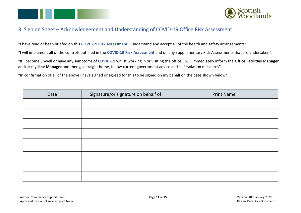



#### <span id="page-13-0"></span>3. Sign on Sheet – Acknowledgement and Understanding of COVID-19 Office Risk Assessment

"I have read or been briefed on this **COVD-19 Risk Assessment.** I understand and accept all of the health and safety arrangements".

"l will implement all of the controls outlined in the **COVID-19 Risk Assessment** and on any Supplementary Risk Assessments that are undertaken".

"If I become unwell or have any symptoms of **COVID-19** whilst working in or visiting the office, I will immediately inform the **Office Facilities Manager** and/or my **Line Manager** and then go straight home, follow current government advice and self-isolation measures".

"In confirmation of all of the above I have signed or agreed for this to be signed on my behalf on the date shown below".

| Date | Signature/or signature on behalf of | <b>Print Name</b> |
|------|-------------------------------------|-------------------|
|      |                                     |                   |
|      |                                     |                   |
|      |                                     |                   |
|      |                                     |                   |
|      |                                     |                   |
|      |                                     |                   |
|      |                                     |                   |
|      |                                     |                   |